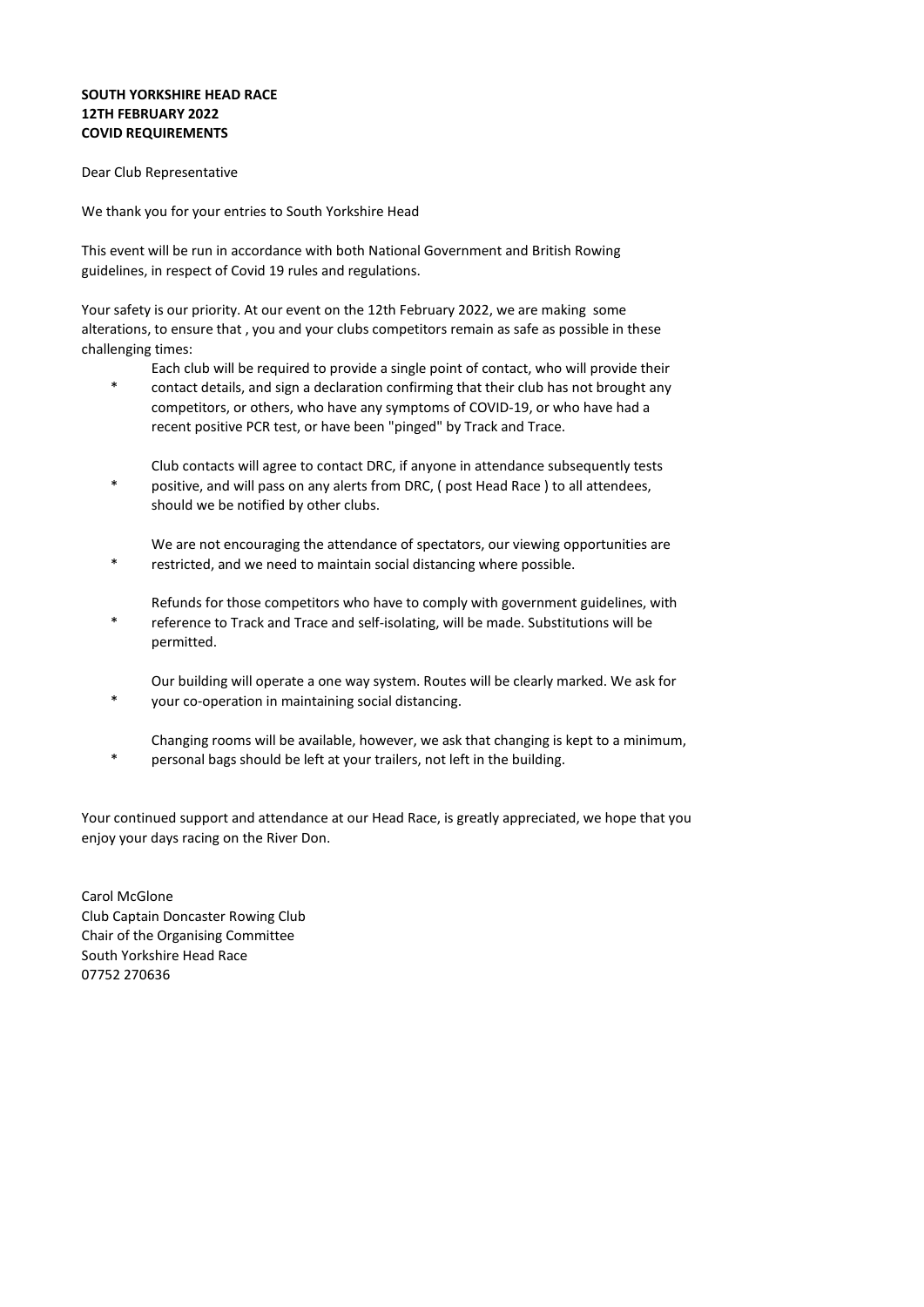## **SOUTH YORKSHIRE HEAD RACE 12TH FEBRUARY 2022 COVID REQUIREMENTS**

Dear Club Representative

We thank you for your entries to South Yorkshire Head

This event will be run in accordance with both National Government and British Rowing guidelines, in respect of Covid 19 rules and regulations.

Your safety is our priority. At our event on the 12th February 2022, we are making some alterations, to ensure that , you and your clubs competitors remain as safe as possible in these challenging times:

Each club will be required to provide a single point of contact, who will provide their

- contact details, and sign a declaration confirming that their club has not brought any competitors, or others, who have any symptoms of COVID-19, or who have had a recent positive PCR test, or have been "pinged" by Track and Trace.
- Club contacts will agree to contact DRC, if anyone in attendance subsequently tests positive, and will pass on any alerts from DRC, ( post Head Race ) to all attendees, should we be notified by other clubs.
- We are not encouraging the attendance of spectators, our viewing opportunities are restricted, and we need to maintain social distancing where possible.
- Refunds for those competitors who have to comply with government guidelines, with reference to Track and Trace and self-isolating, will be made. Substitutions will be permitted.
- Our building will operate a one way system. Routes will be clearly marked. We ask for \* your co-operation in maintaining social distancing.
- Changing rooms will be available, however, we ask that changing is kept to a minimum, \* personal bags should be left at your trailers, not left in the building.

Your continued support and attendance at our Head Race, is greatly appreciated, we hope that you enjoy your days racing on the River Don.

Carol McGlone Club Captain Doncaster Rowing Club Chair of the Organising Committee South Yorkshire Head Race 07752 270636